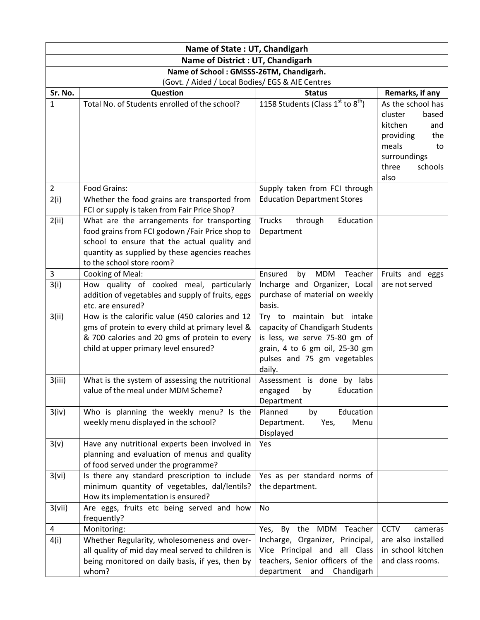| Name of State: UT, Chandigarh           |                                                                                                                                                                                                                               |                                                                                                                                                                           |                                                                                                                                        |  |  |
|-----------------------------------------|-------------------------------------------------------------------------------------------------------------------------------------------------------------------------------------------------------------------------------|---------------------------------------------------------------------------------------------------------------------------------------------------------------------------|----------------------------------------------------------------------------------------------------------------------------------------|--|--|
| Name of District : UT, Chandigarh       |                                                                                                                                                                                                                               |                                                                                                                                                                           |                                                                                                                                        |  |  |
| Name of School: GMSSS-26TM, Chandigarh. |                                                                                                                                                                                                                               |                                                                                                                                                                           |                                                                                                                                        |  |  |
|                                         | (Govt. / Aided / Local Bodies/ EGS & AIE Centres                                                                                                                                                                              |                                                                                                                                                                           |                                                                                                                                        |  |  |
| Sr. No.                                 | Question                                                                                                                                                                                                                      | <b>Status</b>                                                                                                                                                             | Remarks, if any                                                                                                                        |  |  |
| $\mathbf{1}$                            | Total No. of Students enrolled of the school?                                                                                                                                                                                 | 1158 Students (Class 1st to 8 <sup>th</sup> )                                                                                                                             | As the school has<br>cluster<br>based<br>kitchen<br>and<br>providing<br>the<br>meals<br>to<br>surroundings<br>three<br>schools<br>also |  |  |
| $\overline{2}$                          | Food Grains:                                                                                                                                                                                                                  | Supply taken from FCI through                                                                                                                                             |                                                                                                                                        |  |  |
| 2(i)                                    | Whether the food grains are transported from<br>FCI or supply is taken from Fair Price Shop?                                                                                                                                  | <b>Education Department Stores</b>                                                                                                                                        |                                                                                                                                        |  |  |
| 2(ii)                                   | What are the arrangements for transporting<br>food grains from FCI godown / Fair Price shop to<br>school to ensure that the actual quality and<br>quantity as supplied by these agencies reaches<br>to the school store room? | <b>Trucks</b><br>Education<br>through<br>Department                                                                                                                       |                                                                                                                                        |  |  |
| 3                                       | Cooking of Meal:                                                                                                                                                                                                              | Ensured<br><b>MDM</b><br>Teacher<br>by                                                                                                                                    | Fruits and eggs                                                                                                                        |  |  |
| 3(i)                                    | How quality of cooked meal, particularly<br>addition of vegetables and supply of fruits, eggs<br>etc. are ensured?                                                                                                            | Incharge and Organizer, Local<br>purchase of material on weekly<br>basis.                                                                                                 | are not served                                                                                                                         |  |  |
| 3(ii)                                   | How is the calorific value (450 calories and 12<br>gms of protein to every child at primary level &<br>& 700 calories and 20 gms of protein to every<br>child at upper primary level ensured?                                 | Try to maintain but intake<br>capacity of Chandigarh Students<br>is less, we serve 75-80 gm of<br>grain, 4 to 6 gm oil, 25-30 gm<br>pulses and 75 gm vegetables<br>daily. |                                                                                                                                        |  |  |
| 3(iii)                                  | What is the system of assessing the nutritional<br>value of the meal under MDM Scheme?                                                                                                                                        | Assessment is done by labs<br>engaged<br>by<br>Education<br>Department                                                                                                    |                                                                                                                                        |  |  |
| 3(iv)                                   | Who is planning the weekly menu? Is the<br>weekly menu displayed in the school?                                                                                                                                               | Planned<br>Education<br>by<br>Department.<br>Menu<br>Yes,<br>Displayed                                                                                                    |                                                                                                                                        |  |  |
| 3(v)                                    | Have any nutritional experts been involved in<br>planning and evaluation of menus and quality<br>of food served under the programme?                                                                                          | Yes                                                                                                                                                                       |                                                                                                                                        |  |  |
| 3(vi)                                   | Is there any standard prescription to include<br>minimum quantity of vegetables, dal/lentils?<br>How its implementation is ensured?                                                                                           | Yes as per standard norms of<br>the department.                                                                                                                           |                                                                                                                                        |  |  |
| 3(vii)                                  | Are eggs, fruits etc being served and how<br>frequently?                                                                                                                                                                      | N <sub>0</sub>                                                                                                                                                            |                                                                                                                                        |  |  |
| $\overline{4}$                          | Monitoring:                                                                                                                                                                                                                   | Yes, By the MDM<br>Teacher                                                                                                                                                | <b>CCTV</b><br>cameras                                                                                                                 |  |  |
| 4(i)                                    | Whether Regularity, wholesomeness and over-<br>all quality of mid day meal served to children is<br>being monitored on daily basis, if yes, then by<br>whom?                                                                  | Incharge, Organizer, Principal,<br>Vice Principal and all Class<br>teachers, Senior officers of the<br>Chandigarh<br>department<br>and                                    | are also installed<br>in school kitchen<br>and class rooms.                                                                            |  |  |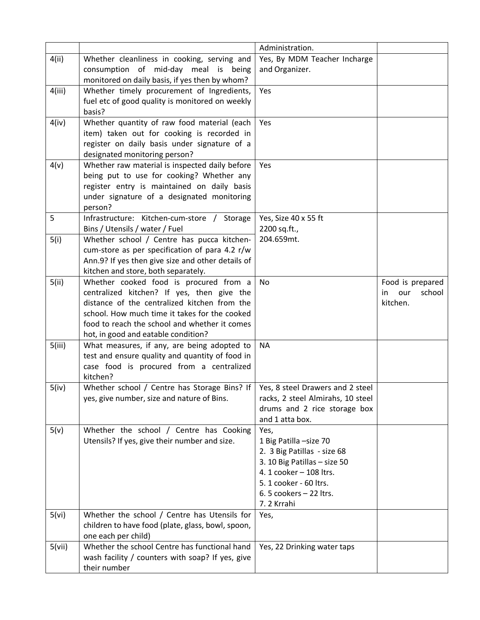|        |                                                                                                | Administration.                   |                     |
|--------|------------------------------------------------------------------------------------------------|-----------------------------------|---------------------|
| 4(ii)  | Whether cleanliness in cooking, serving and                                                    | Yes, By MDM Teacher Incharge      |                     |
|        | consumption of mid-day meal is being                                                           | and Organizer.                    |                     |
|        | monitored on daily basis, if yes then by whom?                                                 |                                   |                     |
| 4(iii) | Whether timely procurement of Ingredients,                                                     | Yes                               |                     |
|        | fuel etc of good quality is monitored on weekly                                                |                                   |                     |
|        | basis?                                                                                         |                                   |                     |
| 4(iv)  | Whether quantity of raw food material (each                                                    | Yes                               |                     |
|        | item) taken out for cooking is recorded in                                                     |                                   |                     |
|        | register on daily basis under signature of a                                                   |                                   |                     |
|        | designated monitoring person?                                                                  |                                   |                     |
| 4(v)   | Whether raw material is inspected daily before                                                 | Yes                               |                     |
|        | being put to use for cooking? Whether any                                                      |                                   |                     |
|        | register entry is maintained on daily basis                                                    |                                   |                     |
|        | under signature of a designated monitoring                                                     |                                   |                     |
|        | person?                                                                                        |                                   |                     |
| 5      | Infrastructure: Kitchen-cum-store / Storage                                                    | Yes, Size 40 x 55 ft              |                     |
|        | Bins / Utensils / water / Fuel                                                                 | 2200 sq.ft.,<br>204.659mt.        |                     |
| 5(i)   | Whether school / Centre has pucca kitchen-<br>cum-store as per specification of para 4.2 $r/w$ |                                   |                     |
|        | Ann.9? If yes then give size and other details of                                              |                                   |                     |
|        | kitchen and store, both separately.                                                            |                                   |                     |
| 5(ii)  | Whether cooked food is procured from a                                                         | No                                | Food is prepared    |
|        | centralized kitchen? If yes, then give the                                                     |                                   | school<br>our<br>in |
|        | distance of the centralized kitchen from the                                                   |                                   | kitchen.            |
|        | school. How much time it takes for the cooked                                                  |                                   |                     |
|        | food to reach the school and whether it comes                                                  |                                   |                     |
|        | hot, in good and eatable condition?                                                            |                                   |                     |
| 5(iii) | What measures, if any, are being adopted to                                                    | <b>NA</b>                         |                     |
|        | test and ensure quality and quantity of food in                                                |                                   |                     |
|        | case food is procured from a centralized                                                       |                                   |                     |
|        | kitchen?                                                                                       |                                   |                     |
| 5(iv)  | Whether school / Centre has Storage Bins? If   Yes, 8 steel Drawers and 2 steel                |                                   |                     |
|        | yes, give number, size and nature of Bins.                                                     | racks, 2 steel Almirahs, 10 steel |                     |
|        |                                                                                                | drums and 2 rice storage box      |                     |
|        |                                                                                                | and 1 atta box.                   |                     |
| 5(v)   | Whether the school / Centre has Cooking                                                        | Yes,                              |                     |
|        | Utensils? If yes, give their number and size.                                                  | 1 Big Patilla -size 70            |                     |
|        |                                                                                                | 2. 3 Big Patillas - size 68       |                     |
|        |                                                                                                | 3. 10 Big Patillas - size 50      |                     |
|        |                                                                                                | 4. 1 cooker - 108 ltrs.           |                     |
|        |                                                                                                | 5. 1 cooker - 60 ltrs.            |                     |
|        |                                                                                                | $6.5$ cookers $-22$ ltrs.         |                     |
|        |                                                                                                | 7.2 Krrahi                        |                     |
| 5(vi)  | Whether the school / Centre has Utensils for                                                   | Yes,                              |                     |
|        | children to have food (plate, glass, bowl, spoon,                                              |                                   |                     |
| 5(vii) | one each per child)<br>Whether the school Centre has functional hand                           | Yes, 22 Drinking water taps       |                     |
|        | wash facility / counters with soap? If yes, give                                               |                                   |                     |
|        | their number                                                                                   |                                   |                     |
|        |                                                                                                |                                   |                     |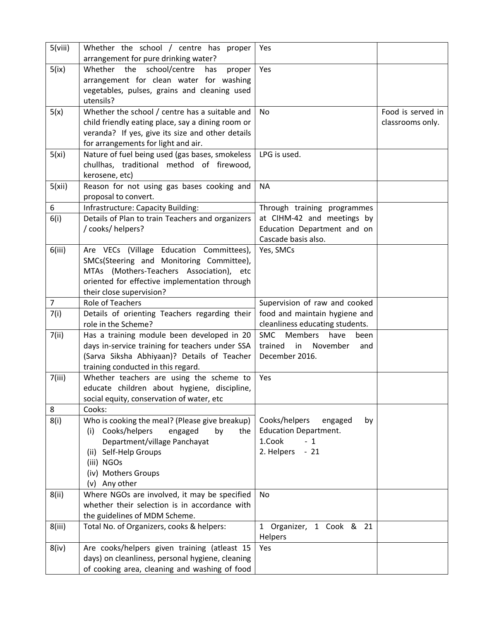| 5(viii)        | Whether the school / centre has proper                                                 | Yes                                                       |                   |
|----------------|----------------------------------------------------------------------------------------|-----------------------------------------------------------|-------------------|
|                | arrangement for pure drinking water?                                                   |                                                           |                   |
| 5(ix)          | Whether the school/centre<br>has<br>proper                                             | Yes                                                       |                   |
|                | arrangement for clean water for washing                                                |                                                           |                   |
|                | vegetables, pulses, grains and cleaning used                                           |                                                           |                   |
|                | utensils?                                                                              |                                                           |                   |
| 5(x)           | Whether the school / centre has a suitable and                                         | No                                                        | Food is served in |
|                | child friendly eating place, say a dining room or                                      |                                                           | classrooms only.  |
|                | veranda? If yes, give its size and other details                                       |                                                           |                   |
|                | for arrangements for light and air.                                                    | LPG is used.                                              |                   |
| 5(xi)          | Nature of fuel being used (gas bases, smokeless                                        |                                                           |                   |
|                | chullhas, traditional method of firewood,                                              |                                                           |                   |
|                | kerosene, etc)                                                                         |                                                           |                   |
| 5(xii)         | Reason for not using gas bases cooking and<br>proposal to convert.                     | <b>NA</b>                                                 |                   |
| 6              |                                                                                        |                                                           |                   |
|                | Infrastructure: Capacity Building:<br>Details of Plan to train Teachers and organizers | Through training programmes<br>at CIHM-42 and meetings by |                   |
| 6(i)           | / cooks/ helpers?                                                                      | Education Department and on                               |                   |
|                |                                                                                        | Cascade basis also.                                       |                   |
| 6(iii)         | Are VECs (Village Education Committees),                                               | Yes, SMCs                                                 |                   |
|                | SMCs(Steering and Monitoring Committee),                                               |                                                           |                   |
|                | MTAs (Mothers-Teachers Association), etc                                               |                                                           |                   |
|                | oriented for effective implementation through                                          |                                                           |                   |
|                | their close supervision?                                                               |                                                           |                   |
| $\overline{7}$ | Role of Teachers                                                                       | Supervision of raw and cooked                             |                   |
| 7(i)           | Details of orienting Teachers regarding their                                          | food and maintain hygiene and                             |                   |
|                | role in the Scheme?                                                                    | cleanliness educating students.                           |                   |
| 7(ii)          | Has a training module been developed in 20                                             | <b>SMC</b><br><b>Members</b><br>have<br>been              |                   |
|                | days in-service training for teachers under SSA                                        | November<br>trained<br>in<br>and                          |                   |
|                | (Sarva Siksha Abhiyaan)? Details of Teacher                                            | December 2016.                                            |                   |
|                | training conducted in this regard.                                                     |                                                           |                   |
| 7(iii)         | Whether teachers are using the scheme to                                               | Yes                                                       |                   |
|                | educate children about hygiene, discipline,                                            |                                                           |                   |
|                | social equity, conservation of water, etc                                              |                                                           |                   |
| 8              | Cooks:                                                                                 |                                                           |                   |
| 8(i)           | Who is cooking the meal? (Please give breakup)                                         | Cooks/helpers<br>engaged<br>by                            |                   |
|                | Cooks/helpers<br>engaged<br>by<br>(i)<br>the                                           | <b>Education Department.</b>                              |                   |
|                | Department/village Panchayat                                                           | 1.Cook<br>$-1$                                            |                   |
|                | (ii) Self-Help Groups                                                                  | 2. Helpers<br>$-21$                                       |                   |
|                | (iii) NGOs                                                                             |                                                           |                   |
|                | (iv) Mothers Groups                                                                    |                                                           |                   |
|                | (v) Any other                                                                          |                                                           |                   |
| 8(ii)          | Where NGOs are involved, it may be specified                                           | No                                                        |                   |
|                | whether their selection is in accordance with                                          |                                                           |                   |
|                | the guidelines of MDM Scheme.                                                          |                                                           |                   |
| 8(iii)         | Total No. of Organizers, cooks & helpers:                                              | Organizer, 1 Cook &<br>21<br>$\mathbf{1}$                 |                   |
|                |                                                                                        | Helpers                                                   |                   |
| 8(iv)          | Are cooks/helpers given training (atleast 15                                           | Yes                                                       |                   |
|                | days) on cleanliness, personal hygiene, cleaning                                       |                                                           |                   |
|                | of cooking area, cleaning and washing of food                                          |                                                           |                   |